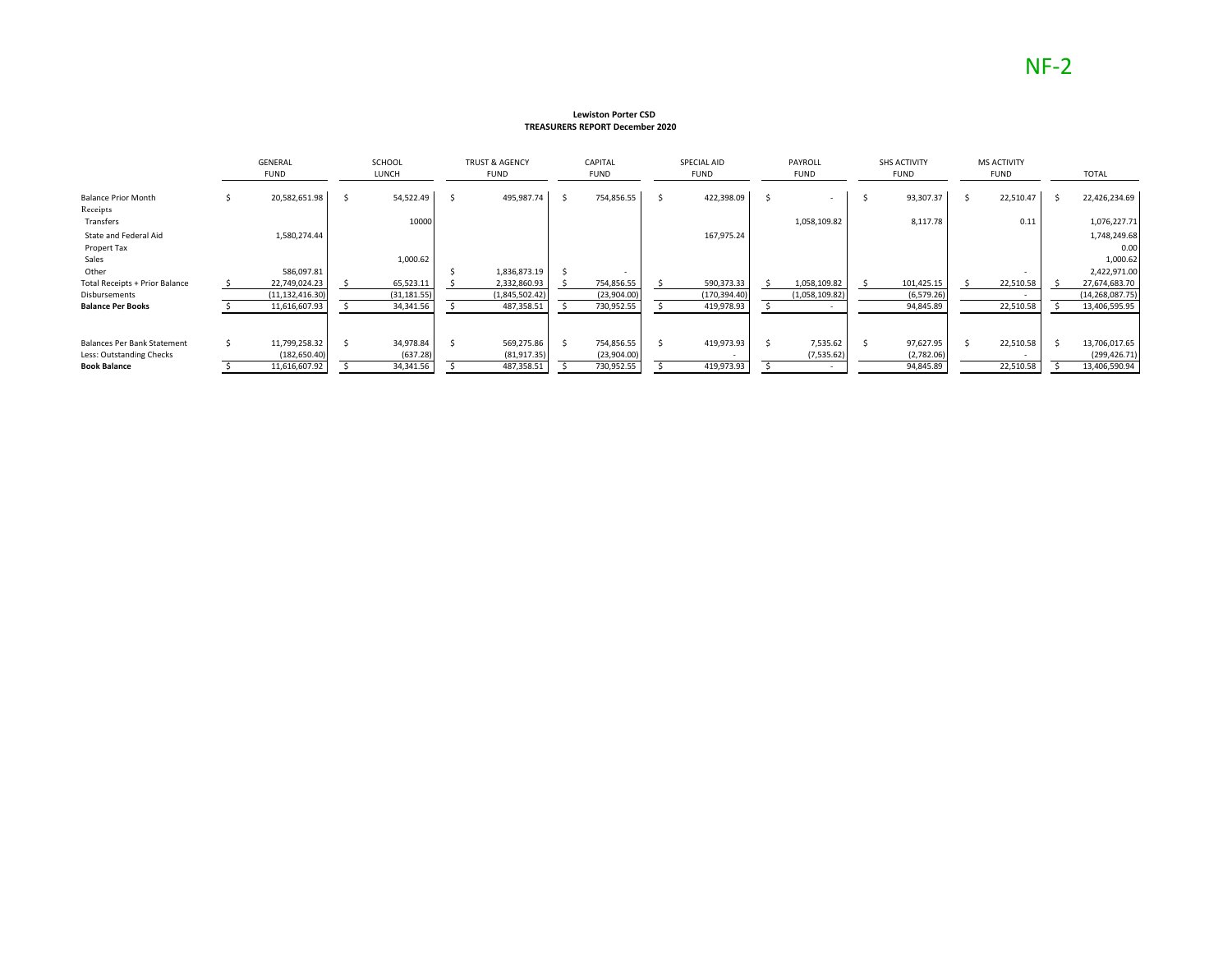#### **Lewiston Porter CSD TREASURERS REPORT December 2020**

|                                        | <b>GENERAL</b><br><b>FUND</b> | <b>SCHOOL</b><br>LUNCH | <b>TRUST &amp; AGENCY</b><br><b>FUND</b> |    | CAPITAL<br><b>FUND</b> | SPECIAL AID<br><b>FUND</b> | PAYROLL<br><b>FUND</b> |     | <b>SHS ACTIVITY</b><br>FUND | <b>MS ACTIVITY</b><br><b>FUND</b> | <b>TOTAL</b>         |
|----------------------------------------|-------------------------------|------------------------|------------------------------------------|----|------------------------|----------------------------|------------------------|-----|-----------------------------|-----------------------------------|----------------------|
| <b>Balance Prior Month</b><br>Receipts | 20,582,651.98                 | 54,522.49              | 495,987.74                               | Ŝ. | 754,856.55             | 422,398.09                 |                        |     | 93,307.37                   | 22,510.47                         | 22,426,234.69        |
| Transfers                              |                               | 10000                  |                                          |    |                        |                            | 1,058,109.82           |     | 8,117.78                    | 0.11                              | 1,076,227.71         |
| State and Federal Aid<br>Propert Tax   | 1,580,274.44                  |                        |                                          |    |                        | 167,975.24                 |                        |     |                             |                                   | 1,748,249.68<br>0.00 |
| Sales                                  |                               | 1,000.62               |                                          |    |                        |                            |                        |     |                             |                                   | 1,000.62             |
| Other                                  | 586,097.81                    |                        | 1,836,873.19                             |    |                        |                            |                        |     |                             |                                   | 2,422,971.00         |
| <b>Total Receipts + Prior Balance</b>  | 22,749,024.23                 | 65,523.11              | 2,332,860.93                             |    | 754,856.55             | 590,373.33                 | 1,058,109.82           |     | 101,425.15                  | 22,510.58                         | 27,674,683.70        |
| Disbursements                          | (11, 132, 416.30)             | (31, 181.55)           | (1,845,502.42)                           |    | (23,904.00)            | (170, 394.40)              | (1,058,109.82)         |     | (6, 579.26)                 |                                   | (14, 268, 087.75)    |
| <b>Balance Per Books</b>               | 11,616,607.93                 | 34,341.56              | 487,358.51                               |    | 730,952.55             | 419,978.93                 |                        |     | 94,845.89                   | 22,510.58                         | 13,406,595.95        |
|                                        |                               |                        |                                          |    |                        |                            |                        |     |                             |                                   |                      |
| <b>Balances Per Bank Statement</b>     | 11,799,258.32                 | 34,978.84              | 569,275.86                               |    | 754,856.55             | 419,973.93                 | 7,535.62               | - S | 97,627.95                   | 22,510.58                         | 13,706,017.65        |
| Less: Outstanding Checks               | (182, 650.40)                 | (637.28)               | (81, 917.35)                             |    | (23,904.00)            |                            | (7, 535.62)            |     | (2,782.06)                  |                                   | (299, 426.71)        |
| <b>Book Balance</b>                    | 11,616,607.92                 | 34,341.56              | 487,358.51                               |    | 730,952.55             | 419,973.93                 |                        |     | 94,845.89                   | 22,510.58                         | 13,406,590.94        |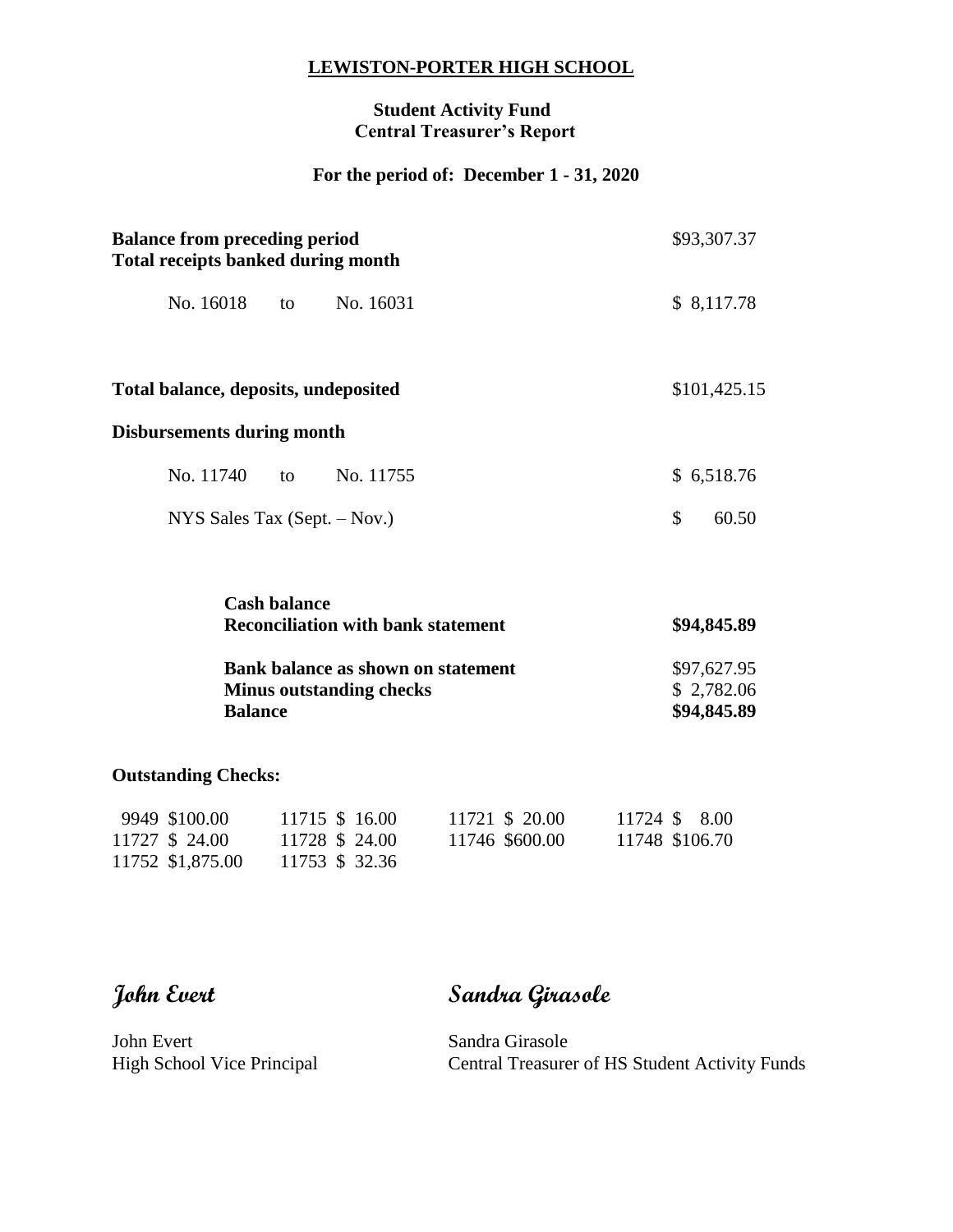#### **LEWISTON-PORTER HIGH SCHOOL**

#### **Student Activity Fund Central Treasurer's Report**

## **For the period of: December 1 - 31, 2020**

| <b>Balance from preceding period</b><br><b>Total receipts banked during month</b> | \$93,307.37               |
|-----------------------------------------------------------------------------------|---------------------------|
| No. 16018<br>No. 16031<br>to to                                                   | \$8,117.78                |
| Total balance, deposits, undeposited                                              | \$101,425.15              |
| <b>Disbursements during month</b>                                                 |                           |
| No. 11740 to<br>No. 11755                                                         | \$6,518.76                |
| NYS Sales Tax $(Sept. - Nov.)$                                                    | $\mathcal{S}$<br>60.50    |
| <b>Cash balance</b><br><b>Reconciliation with bank statement</b>                  | \$94,845.89               |
| <b>Bank balance as shown on statement</b>                                         | \$97,627.95               |
| <b>Minus outstanding checks</b><br><b>Balance</b>                                 | \$2,782.06<br>\$94,845.89 |

#### **Outstanding Checks:**

| 9949 \$100.00    | 11715 \$ 16.00 |  | 11721 \$ 20.00 | 11724 \$ 8.00  |
|------------------|----------------|--|----------------|----------------|
| 11727 \$ 24.00   | 11728 \$ 24.00 |  | 11746 \$600.00 | 11748 \$106.70 |
| 11752 \$1,875.00 | 11753 \$ 32.36 |  |                |                |

# **John Evert Sandra Girasole**

John Evert Sandra Girasole<br>High School Vice Principal Central Treasure

Central Treasurer of HS Student Activity Funds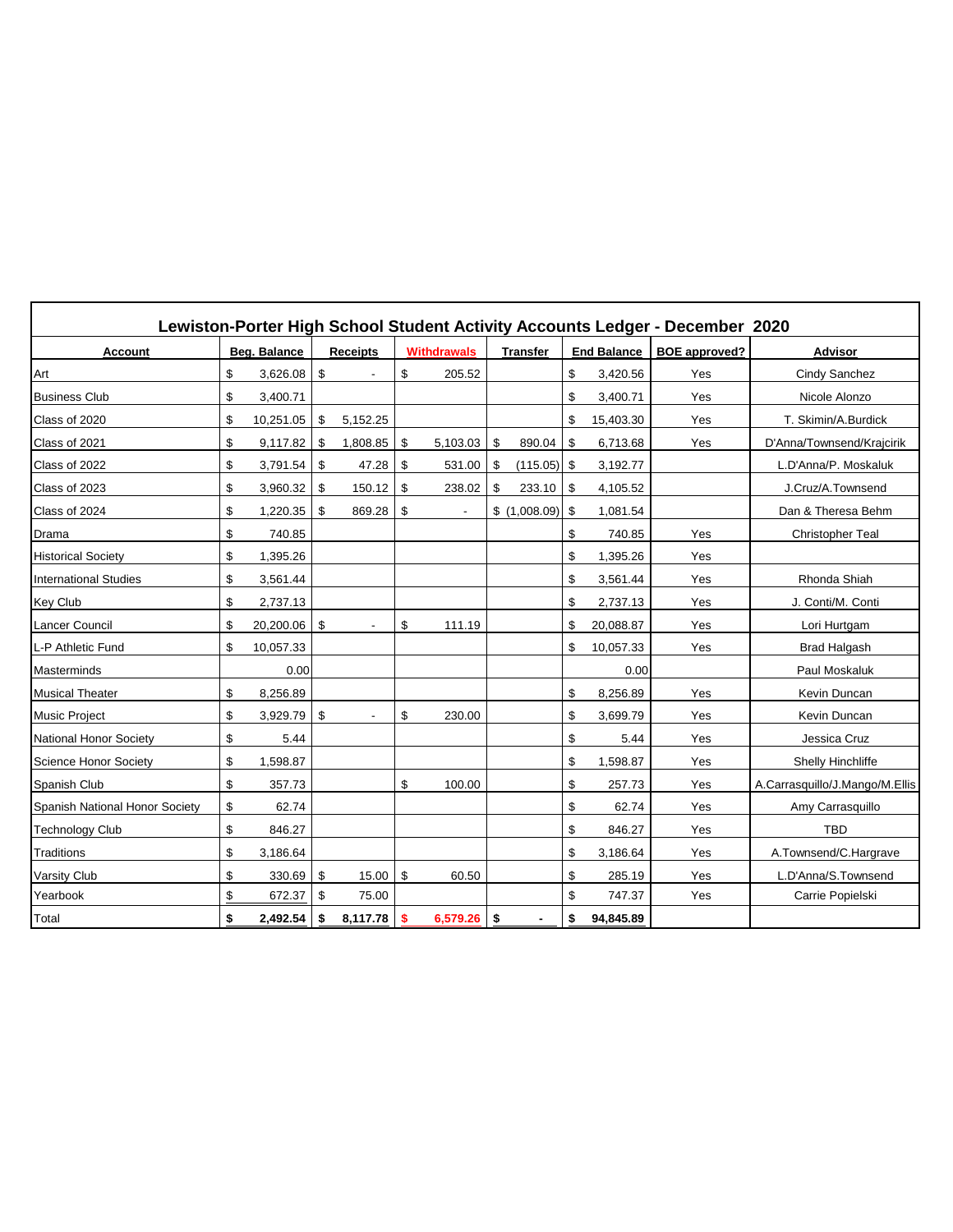|                                |                 |      |                 |    |                    |                 |     |                    | Lewiston-Porter High School Student Activity Accounts Ledger - December 2020 |                                |
|--------------------------------|-----------------|------|-----------------|----|--------------------|-----------------|-----|--------------------|------------------------------------------------------------------------------|--------------------------------|
| <b>Account</b>                 | Beg. Balance    |      | <b>Receipts</b> |    | <b>Withdrawals</b> | <b>Transfer</b> |     | <b>End Balance</b> | <b>BOE</b> approved?                                                         | <b>Advisor</b>                 |
| Art                            | \$<br>3,626.08  | \$   |                 | \$ | 205.52             |                 | \$  | 3,420.56           | Yes                                                                          | Cindy Sanchez                  |
| <b>Business Club</b>           | \$<br>3,400.71  |      |                 |    |                    |                 | \$  | 3,400.71           | Yes                                                                          | Nicole Alonzo                  |
| Class of 2020                  | \$<br>10,251.05 | -\$  | 5,152.25        |    |                    |                 | \$  | 15,403.30          | Yes                                                                          | T. Skimin/A.Burdick            |
| Class of 2021                  | \$<br>9,117.82  | - \$ | 1,808.85        | \$ | 5,103.03           | \$<br>890.04    | \$  | 6,713.68           | Yes                                                                          | D'Anna/Townsend/Krajcirik      |
| Class of 2022                  | \$<br>3,791.54  | \$   | 47.28           | \$ | 531.00             | \$<br>(115.05)  | -\$ | 3,192.77           |                                                                              | L.D'Anna/P. Moskaluk           |
| Class of 2023                  | \$<br>3,960.32  | \$   | 150.12          | \$ | 238.02             | \$<br>233.10    | -\$ | 4,105.52           |                                                                              | J.Cruz/A.Townsend              |
| Class of 2024                  | \$<br>1,220.35  | \$   | 869.28          | \$ |                    | \$(1,008.09)    | -\$ | 1,081.54           |                                                                              | Dan & Theresa Behm             |
| Drama                          | \$<br>740.85    |      |                 |    |                    |                 | \$  | 740.85             | Yes                                                                          | <b>Christopher Teal</b>        |
| <b>Historical Society</b>      | \$<br>1,395.26  |      |                 |    |                    |                 | \$  | 1,395.26           | Yes                                                                          |                                |
| <b>International Studies</b>   | \$<br>3,561.44  |      |                 |    |                    |                 | \$  | 3,561.44           | Yes                                                                          | Rhonda Shiah                   |
| <b>Key Club</b>                | \$<br>2,737.13  |      |                 |    |                    |                 | \$  | 2,737.13           | Yes                                                                          | J. Conti/M. Conti              |
| <b>Lancer Council</b>          | \$<br>20,200.06 | \$   |                 | \$ | 111.19             |                 | \$  | 20,088.87          | Yes                                                                          | Lori Hurtgam                   |
| L-P Athletic Fund              | \$<br>10,057.33 |      |                 |    |                    |                 | \$  | 10,057.33          | Yes                                                                          | <b>Brad Halgash</b>            |
| Masterminds                    | 0.00            |      |                 |    |                    |                 |     | 0.00               |                                                                              | Paul Moskaluk                  |
| <b>Musical Theater</b>         | \$<br>8,256.89  |      |                 |    |                    |                 | \$  | 8,256.89           | Yes                                                                          | Kevin Duncan                   |
| <b>Music Project</b>           | \$<br>3,929.79  | \$   |                 | \$ | 230.00             |                 | \$  | 3,699.79           | Yes                                                                          | Kevin Duncan                   |
| <b>National Honor Society</b>  | \$<br>5.44      |      |                 |    |                    |                 | \$  | 5.44               | Yes                                                                          | Jessica Cruz                   |
| Science Honor Society          | \$<br>1,598.87  |      |                 |    |                    |                 | \$  | 1,598.87           | Yes                                                                          | <b>Shelly Hinchliffe</b>       |
| Spanish Club                   | \$<br>357.73    |      |                 | \$ | 100.00             |                 | \$  | 257.73             | Yes                                                                          | A.Carrasquillo/J.Mango/M.Ellis |
| Spanish National Honor Society | \$<br>62.74     |      |                 |    |                    |                 | \$  | 62.74              | Yes                                                                          | Amy Carrasquillo               |
| <b>Technology Club</b>         | \$<br>846.27    |      |                 |    |                    |                 | \$  | 846.27             | Yes                                                                          | <b>TBD</b>                     |
| Traditions                     | \$<br>3,186.64  |      |                 |    |                    |                 | \$  | 3,186.64           | Yes                                                                          | A.Townsend/C.Hargrave          |
| <b>Varsity Club</b>            | \$<br>330.69    | \$   | 15.00           | \$ | 60.50              |                 | \$  | 285.19             | Yes                                                                          | L.D'Anna/S.Townsend            |
| Yearbook                       | \$<br>672.37    | \$   | 75.00           |    |                    |                 | \$  | 747.37             | Yes                                                                          | Carrie Popielski               |
| Total                          | \$<br>2,492.54  | \$   | 8,117.78        | s. | 6,579.26           | \$              | \$  | 94,845.89          |                                                                              |                                |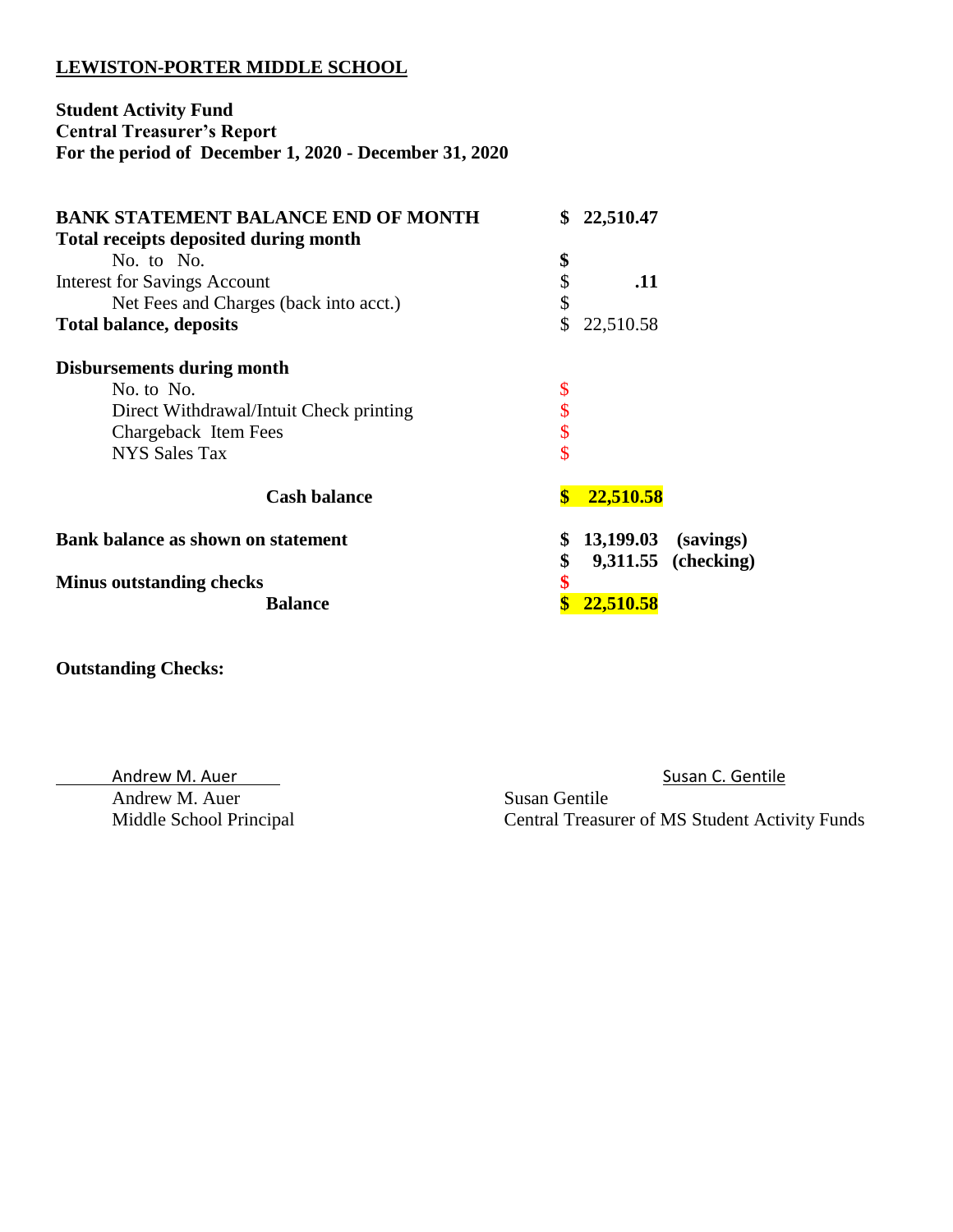#### **LEWISTON-PORTER MIDDLE SCHOOL**

### **Student Activity Fund Central Treasurer's Report For the period of December 1, 2020 - December 31, 2020**

| <b>BANK STATEMENT BALANCE END OF MONTH</b><br><b>Total receipts deposited during month</b> | \$                 | 22,510.47 |                     |
|--------------------------------------------------------------------------------------------|--------------------|-----------|---------------------|
| No. to No.                                                                                 | \$                 |           |                     |
| <b>Interest for Savings Account</b>                                                        | \$                 | .11       |                     |
| Net Fees and Charges (back into acct.)                                                     | \$                 |           |                     |
| <b>Total balance, deposits</b>                                                             | \$                 | 22,510.58 |                     |
| <b>Disbursements during month</b>                                                          |                    |           |                     |
| No. to No.                                                                                 | \$                 |           |                     |
| Direct Withdrawal/Intuit Check printing                                                    | \$                 |           |                     |
| Chargeback Item Fees                                                                       | \$                 |           |                     |
| <b>NYS Sales Tax</b>                                                                       | \$                 |           |                     |
| <b>Cash balance</b>                                                                        | $\boldsymbol{\$\}$ | 22,510.58 |                     |
| Bank balance as shown on statement                                                         | \$                 | 13,199.03 | (savings)           |
|                                                                                            | \$                 |           | 9,311.55 (checking) |
| <b>Minus outstanding checks</b>                                                            | \$                 |           |                     |
| <b>Balance</b>                                                                             |                    | 22,510.58 |                     |

**Outstanding Checks:** 

Andrew M. Auer Susan Gentile

Andrew M. Auer Care Susan C. Gentile

Middle School Principal Central Treasurer of MS Student Activity Funds